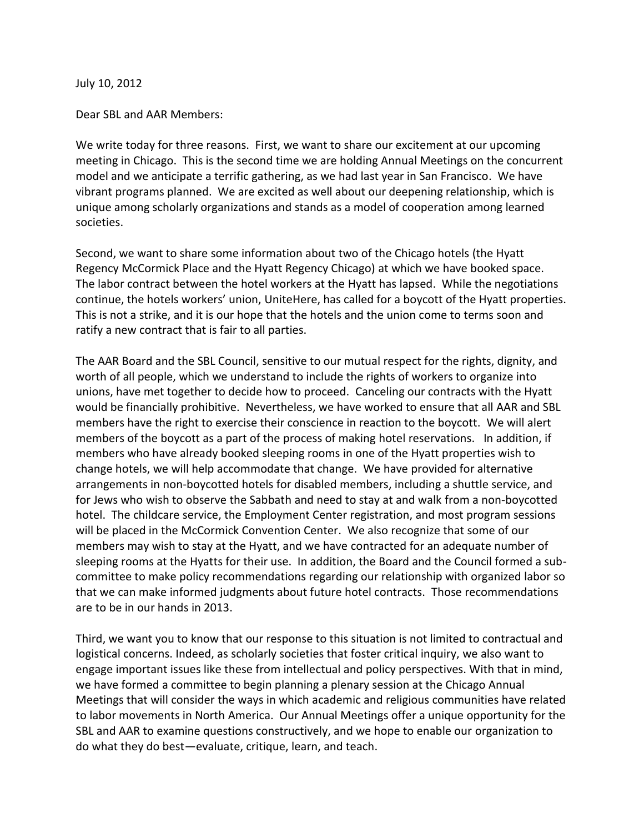July 10, 2012

Dear SBL and AAR Members:

We write today for three reasons. First, we want to share our excitement at our upcoming meeting in Chicago. This is the second time we are holding Annual Meetings on the concurrent model and we anticipate a terrific gathering, as we had last year in San Francisco. We have vibrant programs planned. We are excited as well about our deepening relationship, which is unique among scholarly organizations and stands as a model of cooperation among learned societies.

Second, we want to share some information about two of the Chicago hotels (the Hyatt Regency McCormick Place and the Hyatt Regency Chicago) at which we have booked space. The labor contract between the hotel workers at the Hyatt has lapsed. While the negotiations continue, the hotels workers' union, UniteHere, has called for a boycott of the Hyatt properties. This is not a strike, and it is our hope that the hotels and the union come to terms soon and ratify a new contract that is fair to all parties.

The AAR Board and the SBL Council, sensitive to our mutual respect for the rights, dignity, and worth of all people, which we understand to include the rights of workers to organize into unions, have met together to decide how to proceed. Canceling our contracts with the Hyatt would be financially prohibitive. Nevertheless, we have worked to ensure that all AAR and SBL members have the right to exercise their conscience in reaction to the boycott. We will alert members of the boycott as a part of the process of making hotel reservations. In addition, if members who have already booked sleeping rooms in one of the Hyatt properties wish to change hotels, we will help accommodate that change. We have provided for alternative arrangements in non-boycotted hotels for disabled members, including a shuttle service, and for Jews who wish to observe the Sabbath and need to stay at and walk from a non-boycotted hotel. The childcare service, the Employment Center registration, and most program sessions will be placed in the McCormick Convention Center. We also recognize that some of our members may wish to stay at the Hyatt, and we have contracted for an adequate number of sleeping rooms at the Hyatts for their use. In addition, the Board and the Council formed a subcommittee to make policy recommendations regarding our relationship with organized labor so that we can make informed judgments about future hotel contracts. Those recommendations are to be in our hands in 2013.

Third, we want you to know that our response to this situation is not limited to contractual and logistical concerns. Indeed, as scholarly societies that foster critical inquiry, we also want to engage important issues like these from intellectual and policy perspectives. With that in mind, we have formed a committee to begin planning a plenary session at the Chicago Annual Meetings that will consider the ways in which academic and religious communities have related to labor movements in North America. Our Annual Meetings offer a unique opportunity for the SBL and AAR to examine questions constructively, and we hope to enable our organization to do what they do best—evaluate, critique, learn, and teach.